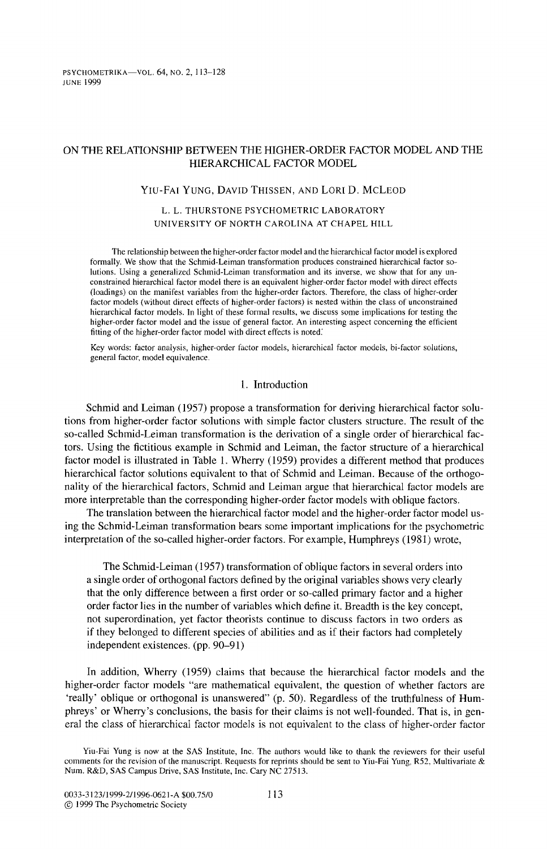PSYCHOMETRIKA-VOL. 64, NO. 2, 113-128 JUNE 1999

## ON THE RELATIONSHIP BETWEEN THE HIGHER-ORDER FACTOR MODEL AND THE HIERARCHICAL FACTOR MODEL

### YIU-FAI YUNG, DAVID THISSEN, AND LORI D. MCLEOD

# L. L. THURSTONE PSYCHOMETRIC LABORATORY UNIVERSITY OF NORTH CAROLINA AT CHAPEL HILL

The relationship between the higher-order factor model and the hierarchical factor model is explored formally. We show that the Schmid-Leiman transformation produces constrained hierarchical factor solutions. Using a generalized Schmid-Leiman transformation and its inverse, we show that for any unconstrained hierarchical factor model there is an equivalent higher-order factor model with direct effects (loadings) on the manifest variables from the higher-order factors. Therefore, the class of higher-order factor models (without direct effects of higher-order factors) is nested within the class of unconstrained hierarchical factor models. In light of these formal results, we discuss some implications for testing the higher-order factor model and the issue of general factor. An interesting aspect concerning the efficient fitting of the higher-order factor model with direct effects is noted.

Key words: factor analysis, higher-order factor models, hierarchical factor models, hi-factor solutions, general factor, model equivalence.

### 1. Introduction

Schmid and Leiman (1957) propose a transformation for deriving hierarchical factor solutions from higher-order factor solutions with simple factor clusters structure. The result of the so-called Schmid-Leiman transformation is the derivation of a single order of hierarchical factors. Using the fictitious example in Schmid and Leiman, the factor structure of a hierarchical factor model is illustrated in Table 1. Wherry (1959) provides a different method that produces hierarchical factor solutions equivalent to that of Schmid and Leiman. Because of the orthogonality of the hierarchical factors, Schmid and Leiman argue that hierarchical factor models are more interpretable than the corresponding higher-order factor models with oblique factors.

The translation between the hierarchical factor model and the higher-order factor model using the Schmid-Leiman transformation bears some important implications for the psychometric interpretation of the so-called higher-order factors, For example, Humphreys (1981) wrote,

The Schmid-Leiman (1957) transformation of oblique factors in several orders into a single order of orthogonal factors defined by the original variables shows very clearly that the only difference between a first order or so-called primary factor and a higher order factor lies in the number of variables which define it. Breadth is the key concept, not superordination, yet factor theorists continue to discuss factors in two orders as if they belonged to different species of abilities and as if their factors had completely independent existences. (pp. 90-91)

In addition, Wherry (1959) claims that because the hierarchical factor models and the higher-order factor models "are mathematical equivalent, the question of whether factors are 'really' oblique or orthogonal is unanswered" (p. 50). Regardless of the truthfulness of Humphreys' or Wherry's conclusions, the basis for their claims is not well-founded. That is, in general the class of hierarchical factor models is not equivalent to the class of higher-order factor

Yiu-Fai Yung is now at the SAS Institute, Inc. The authors would like to thank the reviewers for their useful comments for the revision of the manuscript. Requests for reprints should be sent to Yiu-Fai Yung, R52, Multivariate  $\&$ Num. R&D, SAS Campus Drive, SAS Institute, Inc. Cary NC 27513.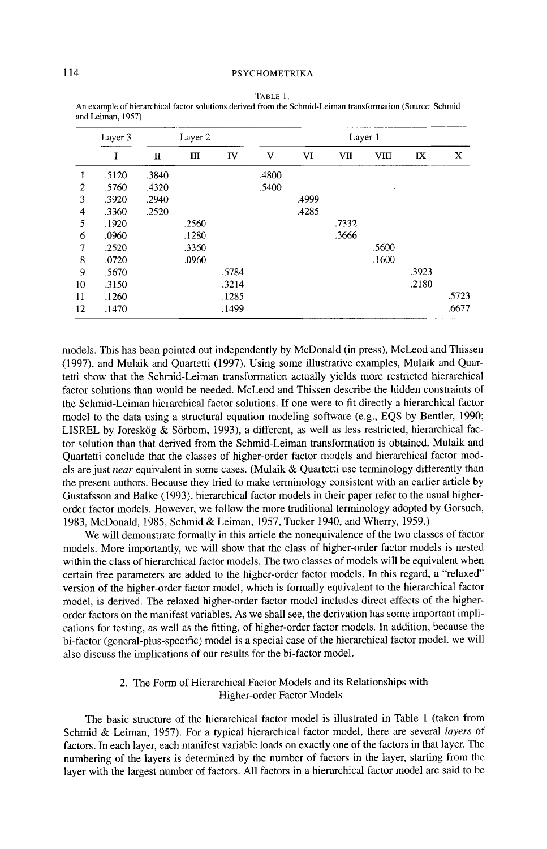|    | Layer 3 | Layer 2 |       |       | Layer 1 |       |       |       |       |       |
|----|---------|---------|-------|-------|---------|-------|-------|-------|-------|-------|
|    | I       | $\Pi$   | Ш     | IV    | V       | VI    | VII   | VШ    | IX    | X     |
| 1  | .5120   | .3840   |       |       | .4800   |       |       |       |       |       |
| 2  | .5760   | .4320   |       |       | .5400   |       |       |       |       |       |
| 3  | .3920   | .2940   |       |       |         | .4999 |       |       |       |       |
| 4  | .3360   | .2520   |       |       |         | .4285 |       |       |       |       |
| 5  | .1920   |         | .2560 |       |         |       | .7332 |       |       |       |
| 6  | .0960   |         | .1280 |       |         |       | .3666 |       |       |       |
| 7  | .2520   |         | .3360 |       |         |       |       | .5600 |       |       |
| 8  | .0720   |         | .0960 |       |         |       |       | .1600 |       |       |
| 9  | .5670   |         |       | .5784 |         |       |       |       | .3923 |       |
| 10 | .3150   |         |       | .3214 |         |       |       |       | .2180 |       |
| 11 | .1260   |         |       | .1285 |         |       |       |       |       | .5723 |
| 12 | .1470   |         |       | .1499 |         |       |       |       |       | .6677 |

TABLE 1, An example of hierarchical factor solutions derived from the Schmid-Leiman transformation (Source: Schmid and Leiman, 1957)

models. This has been pointed out independently by McDonald (in press), McLeod and Thissen (1997), and Mulaik and Quartetti (1997). Using some illustrative examples, Mulaik and Quartetti show that the Schmid-Leiman transformation actually yields more restricted hierarchical factor solutions than would be needed. McLeod and Thissen describe the hidden constraints of the Schmid-Leiman hierarchical factor solutions. If one were to fit directly a hierarchical factor model to the data using a structural equation modeling software (e.g., EQS by Bentler, 1990; LISREL by Joreskög & Sörbom, 1993), a different, as well as less restricted, hierarchical factor solution than that derived from the Schmid-Leiman transformation is obtained. Mulaik and Quartetti conclude that the classes of higher-order factor models and hierarchical factor models are just *near* equivalent in some cases. (Mulaik & Quartetti use terminology differently than the present authors. Because they tried to make terminology consistent with an earlier article by Gustafsson and Balke (1993), hierarchical factor models in their paper refer to the usual higherorder factor models. However, we follow the more traditional terminology adopted by Gorsuch, 1983, McDonald, 1985, Schmid & Leiman, 1957, Tucker 1940, and Wherry, 1959.)

We will demonstrate formally in this article the nonequivalence of the two classes of factor models. More importantly, we will show that the class of higher-order factor models is nested within the class of hierarchical factor models. The two classes of models will be equivalent when certain free parameters are added to the higher-order factor models. In this regard, a "relaxed" version of the higher-order factor model, which is formally equivalent to the hierarchical factor model, is derived. The relaxed higher-order factor model includes direct effects of the higherorder factors on the manifest variables. As we shall see, the derivation has some important implications for testing, as well as the fitting, of higher-order factor models. In addition, because the bi-factor (general-plus-specific) model is a special case of the hierarchical factor model, we will also discuss the implications of our results for the bi-factor model.

## 2. The Form of Hierarchical Factor Models and its Relationships with Higher-order Factor Models

The basic structure of the hierarchical factor model is illustrated in Table 1 (taken from Schmid & Leiman, 1957). For a typical hierarchical factor model, there are several *layers* of factors. In each layer, each manifest variable loads on exactly one of the factors in that layer. The numbering of the layers is determined by the number of factors in the layer, starting from the layer with the largest number of factors. All factors in a hierarchical factor model are said to be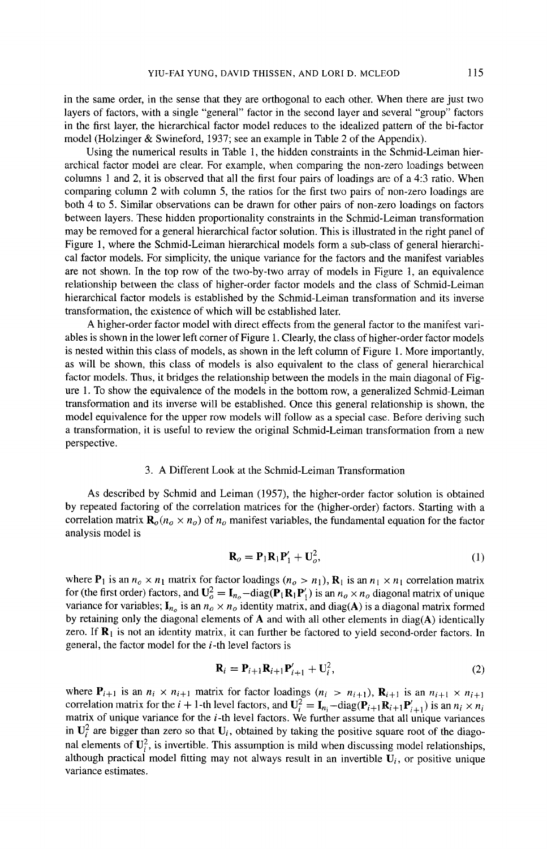in the same order, in the sense that they are orthogonal to each other. When there are just two layers of factors, with a single "general" factor in the second layer and several "group" factors in the first layer, the hierarchical factor model reduces to the idealized pattern of the bi-factor model (Holzinger & Swineford, 1937; see an example in Table 2 of the Appendix).

Using the numerical results in Table 1, the hidden constraints in the Schmid-Leiman hierarchical factor model are clear. For example, when comparing the non-zero loadings between columns 1 and 2, it is observed that all the first four pairs of loadings are of a 4:3 ratio. When comparing column 2 with column 5, the ratios for the first two pairs of non-zero loadings are both 4 to 5. Similar observations can be drawn for other pairs of non-zero loadings on factors between layers. These hidden proportionality constraints in the Schmid-Leiman transformation may be removed for a general hierarchical factor solution. This is illustrated in the right panel of Figure 1, where the Schmid-Leiman hierarchical models form a sub-class of general hierarchical factor models. For simplicity, the unique variance for the factors and the manifest variables are not shown. In the top row of the two-by-two array of models in Figure 1, an equivalence relationship between the class of higher-order factor models and the class of Schmid-Leiman hierarchical factor models is established by the Schmid-Leiman transformation and its inverse transformation, the existence of which will be established later.

A higher-order factor model with direct effects from the general factor to the manifest variables is shown in the lower left comer of Figure 1. Clearly, the class of higher-order factor models is nested within this class of models, as shown in the left column of Figure 1. More importantly, as will be shown, this class of models is also equivalent to the class of general hierarchical factor models. Thus, it bridges the relationship between the models in the main diagonal of Figure 1. To show the equivalence of the models in the bottom row, a generalized Schmid-Leiman transformation and its inverse will be established. Once this general relationship is shown, the model equivalence for the upper row models will follow as a special case. Before deriving such a transformation, it is useful to review the original Schmid-Leiman transformation from a new perspective.

## 3. A Different Look at the Schmid-Leiman Transformation

As described by Schmid and Leiman (1957), the higher-order factor solution is obtained by repeated factoring of the correlation matrices for the (higher-order) factors. Starting with a correlation matrix  $\mathbf{R}_{o}(n_{o} \times n_{o})$  of  $n_{o}$  manifest variables, the fundamental equation for the factor analysis model is

$$
\mathbf{R}_o = \mathbf{P}_1 \mathbf{R}_1 \mathbf{P}_1' + \mathbf{U}_o^2,\tag{1}
$$

where  $P_1$  is an  $n_0 \times n_1$  matrix for factor loadings  $(n_0 > n_1)$ ,  $R_1$  is an  $n_1 \times n_1$  correlation matrix for (the first order) factors, and  $U_o^2 = I_{n_o} - diag(P_1 R_1 P'_1)$  is an  $n_o \times n_o$  diagonal matrix of unique variance for variables;  $I_{n_o}$  is an  $n_o \times n_o$  identity matrix, and diag(A) is a diagonal matrix formed by retaining only the diagonal elements of  $A$  and with all other elements in diag $(A)$  identically zero. If  $\mathbf{R}_1$  is not an identity matrix, it can further be factored to yield second-order factors. In general, the factor model for the  $i$ -th level factors is

$$
\mathbf{R}_i = \mathbf{P}_{i+1} \mathbf{R}_{i+1} \mathbf{P}'_{i+1} + \mathbf{U}_i^2, \tag{2}
$$

where  $P_{i+1}$  is an  $n_i \times n_{i+1}$  matrix for factor loadings  $(n_i > n_{i+1}), R_{i+1}$  is an  $n_{i+1} \times n_{i+1}$ correlation matrix for the  $i + 1$ -th level factors, and  $\mathbf{U}_i^2 = \mathbf{I}_{n_i} - \text{diag}(\mathbf{P}_{i+1}\mathbf{R}_{i+1}\mathbf{P}'_{i+1})$  is an  $n_i \times n_i$ matrix of unique variance for the  $i$ -th level factors. We further assume that all unique variances in  $U_i^2$  are bigger than zero so that  $U_i$ , obtained by taking the positive square root of the diagonal elements of  $U_i^2$ , is invertible. This assumption is mild when discussing model relationships, although practical model fitting may not always result in an invertible  $U_i$ , or positive unique variance estimates.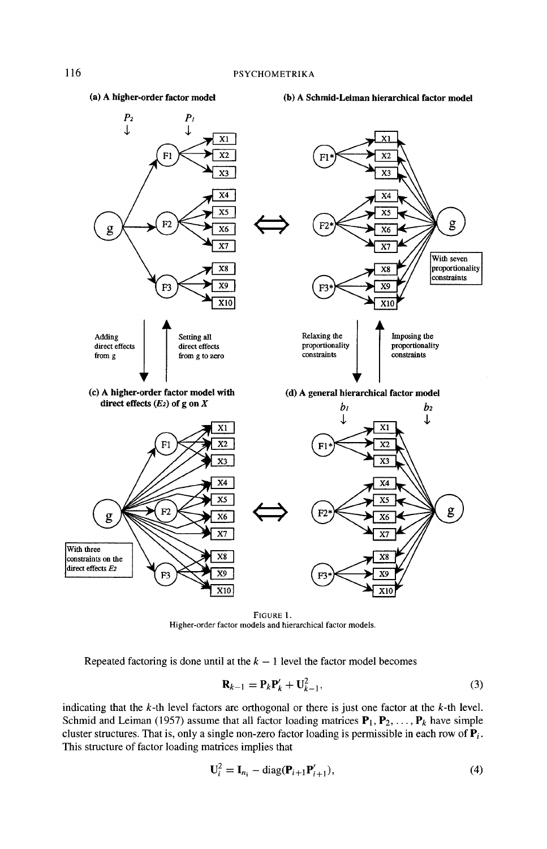





FIGURE l. Higher-order factor models and hierarchical factor models.

Repeated factoring is done until at the  $k - 1$  level the factor model becomes

$$
\mathbf{R}_{k-1} = \mathbf{P}_k \mathbf{P}_k' + \mathbf{U}_{k-1}^2,\tag{3}
$$

indicating that the  $k$ -th level factors are orthogonal or there is just one factor at the  $k$ -th level. Schmid and Leiman (1957) assume that all factor loading matrices  $P_1, P_2, \ldots, P_k$  have simple cluster structures. That is, only a single non-zero factor loading is permissible in each row of  $P_i$ . This structure of factor loading matrices implies that

$$
\mathbf{U}_i^2 = \mathbf{I}_{n_i} - \text{diag}(\mathbf{P}_{i+1}\mathbf{P}'_{i+1}),\tag{4}
$$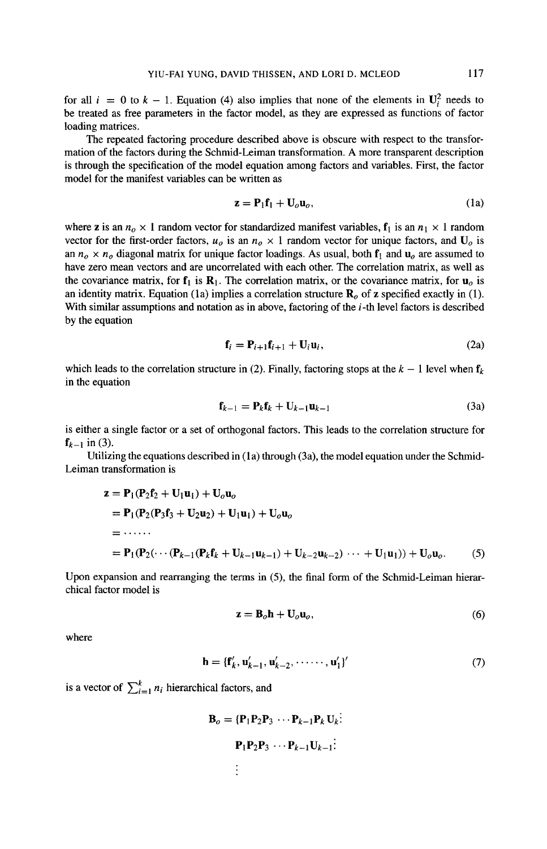for all  $i = 0$  to  $k - 1$ . Equation (4) also implies that none of the elements in  $\mathbf{U}_i^2$  needs to be treated as free parameters in the factor model, as they are expressed as functions of factor loading matrices.

The repeated factoring procedure described above is obscure with respect to the transformation of the factors during the Schmid-Leiman transformation. A more transparent description is through the specification of the model equation among factors and variables. First, the factor model for the manifest variables can be written as

$$
\mathbf{z} = \mathbf{P}_1 \mathbf{f}_1 + \mathbf{U}_o \mathbf{u}_o,\tag{1a}
$$

where **z** is an  $n_0 \times 1$  random vector for standardized manifest variables,  $f_1$  is an  $n_1 \times 1$  random vector for the first-order factors,  $u<sub>o</sub>$  is an  $n<sub>o</sub> \times 1$  random vector for unique factors, and  $U<sub>o</sub>$  is an  $n<sub>o</sub> \times n<sub>o</sub>$  diagonal matrix for unique factor loadings. As usual, both  $f<sub>1</sub>$  and  $u<sub>o</sub>$  are assumed to have zero mean vectors and are uncorrelated with each other. The correlation matrix, as well as the covariance matrix, for  $f_1$  is  $R_1$ . The correlation matrix, or the covariance matrix, for  $u_0$  is an identity matrix. Equation (1a) implies a correlation structure  $\mathbf{R}_{o}$  of z specified exactly in (1). With similar assumptions and notation as in above, factoring of the  $i$ -th level factors is described by the equation

$$
\mathbf{f}_i = \mathbf{P}_{i+1}\mathbf{f}_{i+1} + \mathbf{U}_i\mathbf{u}_i,\tag{2a}
$$

which leads to the correlation structure in (2). Finally, factoring stops at the  $k - 1$  level when  $f_k$ in the equation

$$
\mathbf{f}_{k-1} = \mathbf{P}_k \mathbf{f}_k + \mathbf{U}_{k-1} \mathbf{u}_{k-1} \tag{3a}
$$

is either a single factor or a set of orthogonal factors. This leads to the correlation structure for  $f_{k-1}$  in (3).

Utilizing the equations described in  $(1a)$  through  $(3a)$ , the model equation under the Schmid-Leiman transformation is

$$
\mathbf{z} = \mathbf{P}_1(\mathbf{P}_2\mathbf{f}_2 + \mathbf{U}_1\mathbf{u}_1) + \mathbf{U}_o\mathbf{u}_o
$$
  
=  $\mathbf{P}_1(\mathbf{P}_2(\mathbf{P}_3\mathbf{f}_3 + \mathbf{U}_2\mathbf{u}_2) + \mathbf{U}_1\mathbf{u}_1) + \mathbf{U}_o\mathbf{u}_o$   
=  $\cdots$   
=  $\mathbf{P}_1(\mathbf{P}_2(\cdots(\mathbf{P}_{k-1}(\mathbf{P}_k\mathbf{f}_k + \mathbf{U}_{k-1}\mathbf{u}_{k-1}) + \mathbf{U}_{k-2}\mathbf{u}_{k-2})\cdots + \mathbf{U}_1\mathbf{u}_1)) + \mathbf{U}_o\mathbf{u}_o.$  (5)

Upon expansion and rearranging the terms in (5), the final form of the Schmid-Leiman hierarchical factor model is

$$
\mathbf{z} = \mathbf{B}_o \mathbf{h} + \mathbf{U}_o \mathbf{u}_o,\tag{6}
$$

where

$$
\mathbf{h} = {\mathbf{f}'_k, \mathbf{u}'_{k-1}, \mathbf{u}'_{k-2}, \cdots, \mathbf{u}'_1}'} \tag{7}
$$

is a vector of  $\sum_{i=1}^{k} n_i$  hierarchical factors, and

$$
\mathbf{B}_o = {\mathbf{P}_1 \mathbf{P}_2 \mathbf{P}_3 \cdots \mathbf{P}_{k-1} \mathbf{P}_k \mathbf{U}_k}
$$
\n
$$
\mathbf{P}_1 \mathbf{P}_2 \mathbf{P}_3 \cdots \mathbf{P}_{k-1} \mathbf{U}_{k-1}
$$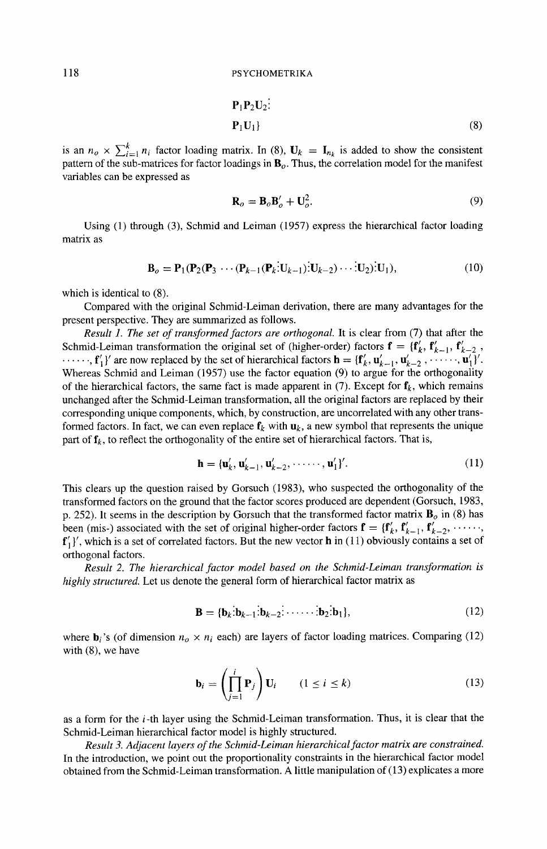$$
\mathbf{P}_1 \mathbf{P}_2 \mathbf{U}_2 \vdots
$$
\n
$$
\mathbf{P}_1 \mathbf{U}_1 \}
$$
\n(8)

is an  $n_o \times \sum_{i=1}^k n_i$  factor loading matrix. In (8),  $U_k = I_{n_k}$  is added to show the consistent pattern of the sub-matrices for factor loadings in  $B_0$ . Thus, the correlation model for the manifest variables can be expressed as

$$
\mathbf{R}_o = \mathbf{B}_o \mathbf{B}_o' + \mathbf{U}_o^2. \tag{9}
$$

Using (1) through (3), Schmid and Leiman (1957) express the hierarchical factor loading matrix as

$$
\mathbf{B}_o = \mathbf{P}_1(\mathbf{P}_2(\mathbf{P}_3 \cdots (\mathbf{P}_{k-1}(\mathbf{P}_k; \mathbf{U}_{k-1}); \mathbf{U}_{k-2}) \cdots; \mathbf{U}_2); \mathbf{U}_1),
$$
(10)

which is identical to (8).

Compared with the original Schmid-Leiman derivation, there are many advantages for the present perspective. They are summarized as follows.

*Result 1. The set of transformed factors are orthogonal.* It is clear from (7) that after the Schmid-Leiman transformation the original set of (higher-order) factors  $\mathbf{f} = {\mathbf{f}_k', \mathbf{f}_{k-1}', \mathbf{f}_{k-2}' }$ ,  $\cdots$ ,  $f'_{1}$ ' are now replaced by the set of hierarchical factors  $\mathbf{h} = \{\mathbf{f}'_{k}, \mathbf{u}'_{k-1}, \mathbf{u}'_{k-2}, \cdots, \mathbf{u}'_{1}\}'$ . Whereas Schmid and Leiman (1957) use the factor equation (9) to argue for the orthogonality of the hierarchical factors, the same fact is made apparent in (7). Except for  $f_k$ , which remains unchanged after the Schmid-Leiman transformation, all the original factors are replaced by their corresponding unique components, which, by construction, are uncorrelated with any other transformed factors. In fact, we can even replace  $f_k$  with  $u_k$ , a new symbol that represents the unique part of  $f_k$ , to reflect the orthogonality of the entire set of hierarchical factors. That is,

$$
\mathbf{h} = {\mathbf{u}'_k, \mathbf{u}'_{k-1}, \mathbf{u}'_{k-2}, \cdots, \mathbf{u}'_1}'}.
$$
 (11)

This clears up the question raised by Gorsuch (1983), who suspected the orthogonality of the transformed factors on the ground that the factor scores produced are dependent (Gorsuch, 1983, p. 252). It seems in the description by Gorsuch that the transformed factor matrix  $\mathbf{B}_o$  in (8) has been (mis-) associated with the set of original higher-order factors  $\mathbf{f} = \{f'_k, f'_{k-1}, f'_{k-2}, \cdots, f'_k\}$  $f'$ ]', which is a set of correlated factors. But the new vector **h** in (11) obviously contains a set of orthogonal factors.

*Result 2. The hierarchical factor model based on the Schmid-Leiman transformation is highly structured.* Let us denote the general form of hierarchical factor matrix as

$$
\mathbf{B} = \{\mathbf{b}_k : \mathbf{b}_{k-1} : \mathbf{b}_{k-2} : \cdots : \mathbf{b}_2 : \mathbf{b}_1\},\tag{12}
$$

where  $\mathbf{b}_i$ 's (of dimension  $n_o \times n_i$  each) are layers of factor loading matrices. Comparing (12) with (8), we have

$$
\mathbf{b}_{i} = \left(\prod_{j=1}^{i} \mathbf{P}_{j}\right) \mathbf{U}_{i} \qquad (1 \leq i \leq k)
$$
 (13)

as a form for the i-th layer using the Schmid-Leiman transformation. Thus, it is clear that the Schmid-Leiman hierarchical factor model is highly structured.

*Result 3. Adjacent layers of the Schmid-Leiman hierarchical factor matrix are constrained.*  In the introduction, we point out the proportionality constraints in the hierarchical factor model obtained from the Schmid-Leiman transformation. A little manipulation of (13) explicates a more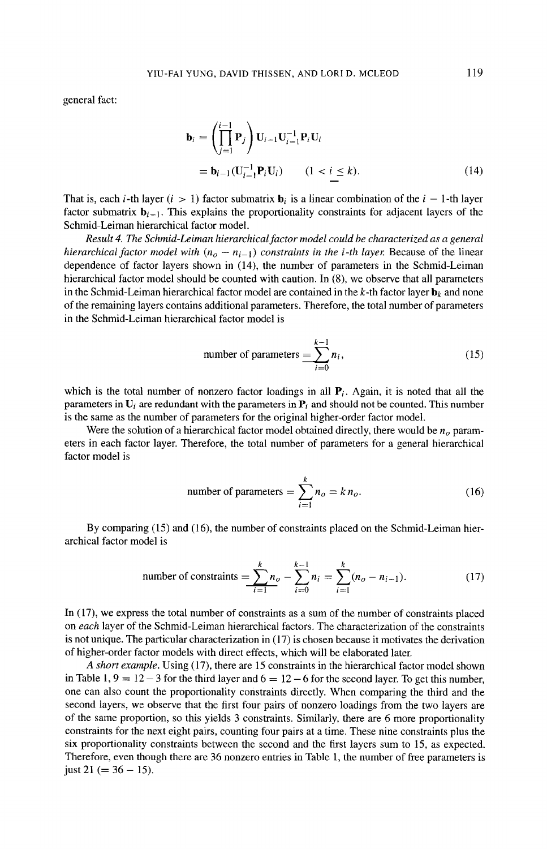general fact:

$$
\mathbf{b}_{i} = \left(\prod_{j=1}^{i-1} \mathbf{P}_{j}\right) \mathbf{U}_{i-1} \mathbf{U}_{i-1}^{-1} \mathbf{P}_{i} \mathbf{U}_{i}
$$
  
=  $\mathbf{b}_{i-1} (\mathbf{U}_{i-1}^{-1} \mathbf{P}_{i} \mathbf{U}_{i})$   $(1 < i \leq k).$  (14)

That is, each *i*-th layer (*i* > 1) factor submatrix  $\mathbf{b}_i$  is a linear combination of the *i* - 1-th layer factor submatrix  $\mathbf{b}_{i-1}$ . This explains the proportionality constraints for adjacent layers of the Schmid-Leiman hierarchical factor model.

*Result 4. The Schmid-Leiman hierarchical factor model could be characterized as a general hierarchical factor model with*  $(n_0 - n_{i-1})$  *constraints in the i-th layer.* Because of the linear dependence of factor layers shown in (14), the number of parameters in the Schmid-Leiman hierarchical factor model should be counted with caution. In (8), we observe that all parameters in the Schmid-Leiman hierarchical factor model are contained in the k-th factor layer  $\mathbf{b}_k$  and none of the remaining layers contains additional parameters. Therefore, the total number of parameters in the Schmid-Leiman hierarchical factor model is

number of parameters 
$$
= \sum_{i=0}^{k-1} n_i,
$$
 (15)

which is the total number of nonzero factor loadings in all  $P_i$ . Again, it is noted that all the parameters in  $U_i$  are redundant with the parameters in  $P_i$  and should not be counted. This number is the same as the number of parameters for the original higher-order factor model.

Were the solution of a hierarchical factor model obtained directly, there would be  $n<sub>o</sub>$  parameters in each factor layer. Therefore, the total number of parameters for a general hierarchical factor model is

number of parameters 
$$
=\sum_{i=1}^{k} n_o = k n_o.
$$
 (16)

By comparing (15) and (16), the number of constraints placed on the Schmid-Leiman hierarchical factor model is

number of constraints 
$$
=\sum_{i=1}^{k} n_o - \sum_{i=0}^{k-1} n_i = \sum_{i=1}^{k} (n_o - n_{i-1}).
$$
 (17)

In (17), we express the total number of constraints as a sum of the number of constraints placed on *each* layer of the Schmid-Leiman hierarchical factors. The characterization of the constraints is not unique. The particular characterization in (17) is chosen because it motivates the derivation of higher-order factor models with direct effects, which will be elaborated later.

*A short example.* Using (17), there are 15 constraints in the hierarchical factor model shown in Table 1,  $9 = 12 - 3$  for the third layer and  $6 = 12 - 6$  for the second layer. To get this number, one can also count the proportionality constraints directly. When comparing the third and the second layers, we observe that the first four pairs of nonzero loadings from the two layers are of the same proportion, so this yields 3 constraints. Similarly, there are 6 more proportionality constraints for the next eight pairs, counting four pairs at a time. These nine constraints plus the six proportionality constraints between the second and the first layers sum to 15, as expected. Therefore, even though there are 36 nonzero entries in Table 1, the number of free parameters is just 21 ( $= 36 - 15$ ).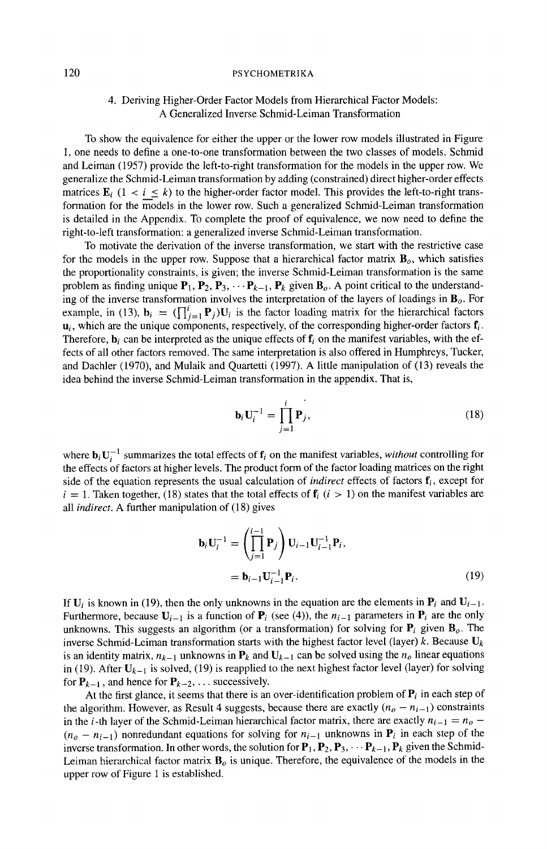## 4. Deriving Higher-Order Factor Models from Hierarchical Factor Models: A Generalized Inverse Schmid-Leiman Transformation

To show the equivalence for either the upper or the lower row models illustrated in Figure 1, one needs to define a one-to-one transformation between the two classes of models. Schmid and Leiman (1957) provide the left-to-right transformation for the models in the upper row. We generalize the Schmid-Leiman transformation by adding (constrained) direct higher-order effects matrices  $\mathbf{E}_i$  (1 < i  $\leq k$ ) to the higher-order factor model. This provides the left-to-right transformation for the models in the lower row. Such a generalized Schmid-Leiman transformation is detailed in the Appendix. To complete the proof of equivalence, we now need to define the right-to-left transformation: a generalized inverse Schmid-Leiman transformation.

To motivate the derivation of the inverse transformation, we start with the restrictive case for the models in the upper row. Suppose that a hierarchical factor matrix  $\mathbf{B}_{\rho}$ , which satisfies the proportionality constraints, is given; the inverse Schmid-Leiman transformation is the same problem as finding unique  $P_1$ ,  $P_2$ ,  $P_3$ ,  $\cdots$   $P_{k-1}$ ,  $P_k$  given  $B_o$ . A point critical to the understanding of the inverse transformation involves the interpretation of the layers of loadings in  $\mathbf{B}_o$ . For example, in (13),  $\mathbf{b}_i = (\prod_{i=1}^i \mathbf{P}_j) \mathbf{U}_i$  is the factor loading matrix for the hierarchical factors  $\mathbf{u}_i$ , which are the unique components, respectively, of the corresponding higher-order factors  $\mathbf{f}_i$ . Therefore,  $\mathbf{b}_i$  can be interpreted as the unique effects of  $\mathbf{f}_i$  on the manifest variables, with the effects of all other factors removed. The same interpretation is also offered in Humphreys, Tucker, and Dachler (1970), and Mulaik and Quartetti (1997). A little manipulation of (13) reveals the idea behind the inverse Schmid-Leiman transformation in the appendix. That is,

$$
\mathbf{b}_i \mathbf{U}_i^{-1} = \prod_{j=1}^i \mathbf{P}_j, \tag{18}
$$

where  $\mathbf{b}_i \mathbf{U}_i^{-1}$  summarizes the total effects of  $\mathbf{f}_i$  on the manifest variables, *without* controlling for the effects of factors at higher levels. The product form of the factor loading matrices on the right side of the equation represents the usual calculation of *indirect* effects of factors  $f_i$ , except for  $i = 1$ . Taken together, (18) states that the total effects of  $f_i$  ( $i > 1$ ) on the manifest variables are all *indirect.* A further manipulation of (18) gives

$$
\mathbf{b}_{i} \mathbf{U}_{i}^{-1} = \left(\prod_{j=1}^{i-1} \mathbf{P}_{j}\right) \mathbf{U}_{i-1} \mathbf{U}_{i-1}^{-1} \mathbf{P}_{i},
$$
  
=  $\mathbf{b}_{i-1} \mathbf{U}_{i-1}^{-1} \mathbf{P}_{i}.$  (19)

If  $U_i$  is known in (19), then the only unknowns in the equation are the elements in  $P_i$  and  $U_{i-1}$ . Furthermore, because  $U_{i-1}$  is a function of  $P_i$  (see (4)), the  $n_{i-1}$  parameters in  $P_i$  are the only unknowns. This suggests an algorithm (or a transformation) for solving for  $P_i$  given  $B_o$ . The inverse Schmid-Leiman transformation starts with the highest factor level (layer) k. Because  $U_k$ is an identity matrix,  $n_{k-1}$  unknowns in  $P_k$  and  $U_{k-1}$  can be solved using the  $n_o$  linear equations in (19). After  $U_{k-1}$  is solved, (19) is reapplied to the next highest factor level (layer) for solving for  $P_{k-1}$ , and hence for  $P_{k-2}$ , ... successively.

At the first glance, it seems that there is an over-identification problem of  $P_i$  in each step of the algorithm. However, as Result 4 suggests, because there are exactly  $(n_o - n_{i-1})$  constraints in the *i*-th layer of the Schmid-Leiman hierarchical factor matrix, there are exactly  $n_{i-1} = n_o$  $(n_o - n_{i-1})$  nonredundant equations for solving for  $n_{i-1}$  unknowns in P<sub>i</sub> in each step of the inverse transformation. In other words, the solution for  $P_1$ ,  $P_2$ ,  $P_3$ ,  $\cdots$   $P_{k-1}$ ,  $P_k$  given the Schmid-Leiman hierarchical factor matrix  $B<sub>o</sub>$  is unique. Therefore, the equivalence of the models in the upper row of Figure 1 is established.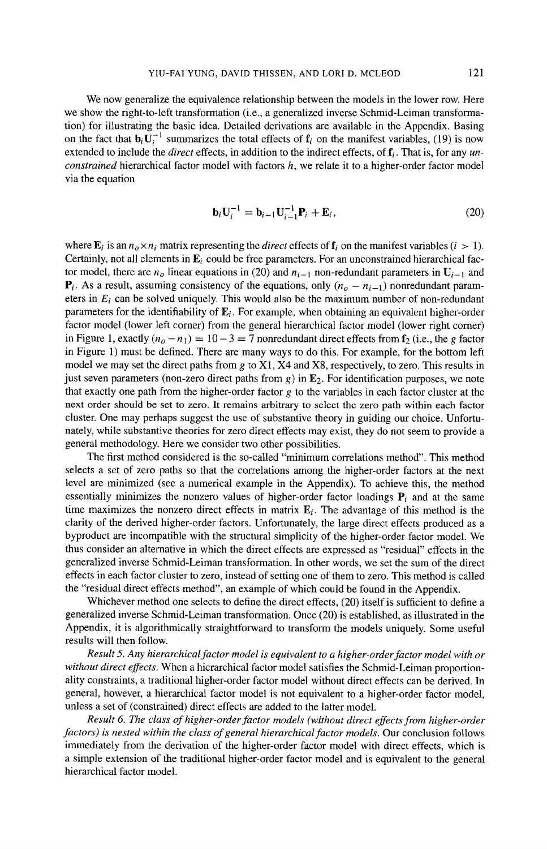We now generalize the equivalence relationship between the models in the lower row. Here we show the right-to-left transformation (i.e., a generalized inverse Schmid-Leiman transformation) for illustrating the basic idea. Detailed derivations are available in the Appendix. Basing on the fact that  $\mathbf{b}_i \mathbf{U}_i^{-1}$  summarizes the total effects of  $\mathbf{f}_i$  on the manifest variables, (19) is now extended to include the *direct* effects, in addition to the indirect effects, of  $f_i$ . That is, for any *unconstrained* hierarchical factor model with factors h, we relate it to a higher-order factor model via the equation

$$
\mathbf{b}_{i} \mathbf{U}_{i}^{-1} = \mathbf{b}_{i-1} \mathbf{U}_{i-1}^{-1} \mathbf{P}_{i} + \mathbf{E}_{i}, \qquad (20)
$$

where  $\mathbf{E}_i$  is an  $n_o \times n_i$  matrix representing the *direct* effects of  $\mathbf{f}_i$  on the manifest variables ( $i > 1$ ). Certainly, not all elements in  $\mathbf{E}_i$  could be free parameters. For an unconstrained hierarchical factor model, there are  $n_o$  linear equations in (20) and  $n_{i-1}$  non-redundant parameters in  $U_{i-1}$  and  $P_i$ . As a result, assuming consistency of the equations, only  $(n_o - n_{i-1})$  nonredundant parameters in *Ei* can be solved uniquely. This would also be the maximum number of non-redundant parameters for the identifiability of  $\mathbf{E}_i$ . For example, when obtaining an equivalent higher-order factor model (lower left corner) from the general hierarchical factor model (lower right corner) in Figure 1, exactly  $(n_o - n_1) = 10 - 3 = 7$  nonredundant direct effects from  $f_2$  (i.e., the g factor in Figure 1) must be defined. There are many ways to do this. For example, for the bottom left model we may set the direct paths from  $g$  to  $X1$ ,  $X4$  and  $X8$ , respectively, to zero. This results in just seven parameters (non-zero direct paths from g) in  $\mathbf{E}_2$ . For identification purposes, we note that exactly one path from the higher-order factor  $g$  to the variables in each factor cluster at the next order should be set to zero. It remains arbitrary to select the zero path within each factor cluster. One may perhaps suggest the use of substantive theory in guiding our choice. Unfortunately, while substantive theories for zero direct effects may exist, they do not seem to provide a general methodology. Here we consider two other possibilities.

The first method considered is the so-called "minimum correlations method". This method selects a set of zero paths so that the correlations among the higher-order factors at the next level are minimized (see a numerical example in the Appendix). To achieve this, the method essentially minimizes the nonzero values of higher-order factor loadings  $P_i$  and at the same time maximizes the nonzero direct effects in matrix  $\mathbf{E}_i$ . The advantage of this method is the clarity of the derived higher-order factors. Unfortunately, the large direct effects produced as a byproduct are incompatible with the structural simplicity of the higher-order factor model. We thus consider an alternative in which the direct effects are expressed as "residual" effects in the generalized inverse Schmid-Leiman transformation. In other words, we set the sum of the direct effects in each factor cluster to zero, instead of setting one of them to zero. This method is called the "residual direct effects method", an example of which could be found in the Appendix.

Whichever method one selects to define the direct effects, (20) itself is sufficient to define a generalized inverse Schmid-Leiman transformation. Once (20) is established, as illustrated in the Appendix, it is algorithmically straightforward to transform the models uniquely. Some useful results will then follow.

*Result 5. Any hierarchical factor model is equivalent to a higher-order factor model with or without direct effects.* When a hierarchical factor model satisfies the Schmid-Leiman proportionality constraints, a traditional higher-order factor model without direct effects can be derived. In general, however, a hierarchical factor model is not equivalent to a higher-order factor model, unless a set of (constrained) direct effects are added to the latter model.

*Result 6. The class of higher-order factor models (without direct effects from higher-order factors) is nested within the class of general hierarchical factor models.* Our conclusion follows immediately from the derivation of the higher-order factor model with direct effects, which is a simple extension of the traditional higher-order factor model and is equivalent to the general hierarchical factor model.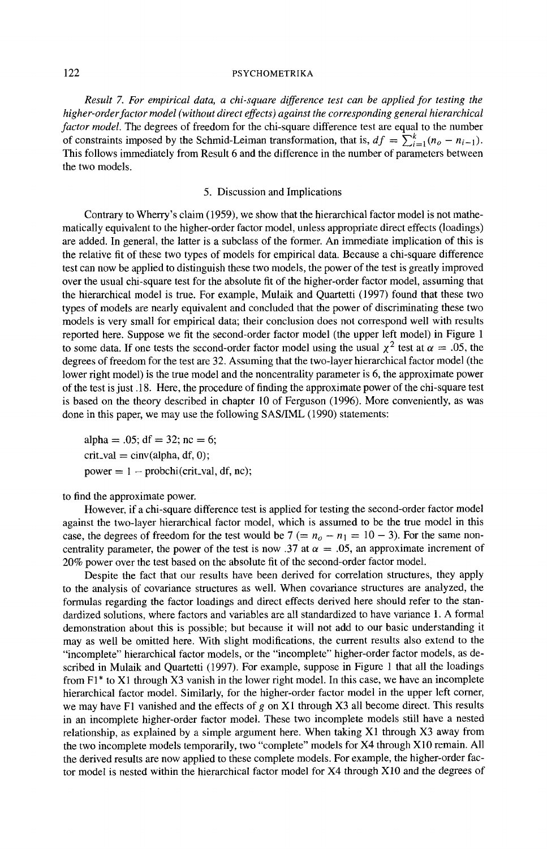*Result 7. For empirical data, a chi-square difference test can be applied for testing the higher-order factor model (without direct effects) against the corresponding general hierarchical factor model.* The degrees of freedom for the chi-square difference test are equal to the number of constraints imposed by the Schmid-Leiman transformation, that is,  $df = \sum_{i=1}^{k} (n_o - n_{i-1}).$ This follows immediately from Result 6 and the difference in the number of parameters between the two models.

#### 5. Discussion and Implications

Contrary to Wherry's claim (1959), we show that the hierarchical factor model is not mathematically equivalent to the higher-order factor model, unless appropriate direct effects (loadings) are added. In general, the latter is a subclass of the former. An immediate implication of this is the relative fit of these two types of models for empirical data. Because a chi-square difference test can now be applied to distinguish these two models, the power of the test is greatly improved over the usual chi-square test for the absolute fit of the higher-order factor model, assuming that the hierarchical model is true. For example, Mulaik and Quartetti (1997) found that these two types of models are nearly equivalent and concluded that the power of discriminating these two models is very small for empirical data; their conclusion does not correspond well with results reported here. Suppose we fit the second-order factor model (the upper left model) in Figure 1 to some data. If one tests the second-order factor model using the usual  $\chi^2$  test at  $\alpha = .05$ , the degrees of freedom for the test are 32. Assuming that the two-layer hierarchical factor model (the lower right model) is the true model and the noncentrality parameter is 6, the approximate power of the test is just. 18. Here, the procedure of finding the approximate power of the chi-square test is based on the theory described in chapter 10 of Ferguson (1996). More conveniently, as was done in this paper, we may use the following SAS/IML (1990) statements:

alpha = .05; df = 32; nc = 6;  $crit\_val = \text{cinv}(\text{alpha}, df, 0);$  $power = 1 - probchi(crit_val, df, nc);$ 

to find the approximate power.

However, if a chi-square difference test is applied for testing the second-order factor model against the two-layer hierarchical factor model, which is assumed to be the true model in this case, the degrees of freedom for the test would be  $7 (= n<sub>o</sub> - n<sub>1</sub> = 10 - 3)$ . For the same noncentrality parameter, the power of the test is now .37 at  $\alpha = 0.05$ , an approximate increment of 20% power over the test based on the absolute fit of the second-order factor model.

Despite the fact that our results have been derived for correlation structures, they apply to the analysis of covariance structures as well. When covariance structures are analyzed, the formulas regarding the factor loadings and direct effects derived here should refer to the standardized solutions, where factors and variables are all standardized to have variance 1. A formal demonstration about this is possible; but because it will not add to our basic understanding it may as well be omitted here. With slight modifications, the current results also extend to the "incomplete" hierarchical factor models, or the "incomplete" higher-order factor models, as described in Mulaik and Quartetti (1997). For example, suppose in Figure 1 that all the loadings from FI\* to X1 through X3 vanish in the lower right model. In this case, we have an incomplete hierarchical factor model. Similarly, for the higher-order factor model in the upper left comer, we may have F1 vanished and the effects of g on  $X1$  through  $X3$  all become direct. This results in an incomplete higher-order factor model. These two incomplete models still have a nested relationship, as explained by a simple argument here. When taking X1 through X3 away from the two incomplete models temporarily, two "complete" models for X4 through X 10 remain. All the derived results are now applied to these complete models. For example, the higher-order factor model is nested within the hierarchical factor model for X4 through X10 and the degrees of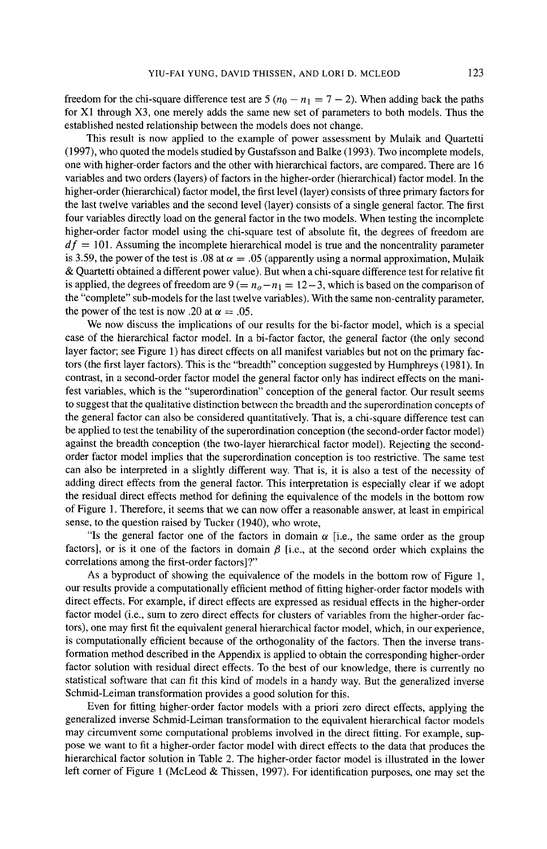freedom for the chi-square difference test are 5 ( $n_0 - n_1 = 7 - 2$ ). When adding back the paths for X1 through X3, one merely adds the same new set of parameters to both models. Thus the established nested relationship between the models does not change.

This result is now applied to the example of power assessment by Mulaik and Quartetti (1997), who quoted the models studied by Gustafsson and Balke (1993). Two incomplete models, one with higher-order factors and the other with hierarchical factors, are compared. There are 16 variables and two orders (layers) of factors in the higher-order (hierarchical) factor model. In the higher-order (hierarchical) factor model, the first level (layer) consists of three primary factors for the last twelve variables and the second level (layer) consists of a single general factor. The first four variables directly load on the general factor in the two models. When testing the incomplete higher-order factor model using the chi-square test of absolute fit, the degrees of freedom are  $df = 101$ . Assuming the incomplete hierarchical model is true and the noncentrality parameter is 3.59, the power of the test is .08 at  $\alpha = 0.05$  (apparently using a normal approximation, Mulaik & Quartetti obtained a different power value). But when a chi-square difference test for relative fit is applied, the degrees of freedom are  $9 (= n<sub>o</sub> - n<sub>1</sub> = 12-3$ , which is based on the comparison of the "complete" sub-models for the last twelve variables). With the same non-centrality parameter, the power of the test is now .20 at  $\alpha = .05$ .

We now discuss the implications of our results for the bi-factor model, which is a special case of the hierarchical factor model. In a hi-factor factor, the general factor (the only second layer factor; see Figure 1) has direct effects on all manifest variables but not on the primary factors (the first layer factors). This is the "breadth" conception suggested by Humphreys (1981). In contrast, in a second-order factor model the general factor only has indirect effects on the manifest variables, which is the "superordination" conception of the general factor. Our result seems to suggest that the qualitative distinction between the breadth and the superordination concepts of the general factor can also be considered quantitatively. That is, a chi-square difference test can be applied to test the tenability of the superordination conception (the second-order factor model) against the breadth conception (the two-layer hierarchical factor model). Rejecting the secondorder factor model implies that the superordination conception is too restrictive. The same test can also be interpreted in a slightly different way. That is, it is also a test of the necessity of adding direct effects from the general factor. This interpretation is especially clear if we adopt the residual direct effects method for defining the equivalence of the models in the bottom row of Figure 1. Therefore, it seems that we can now offer a reasonable answer, at least in empirical sense, to the question raised by Tucker (1940), who wrote,

"Is the general factor one of the factors in domain  $\alpha$  [i.e., the same order as the group factors], or is it one of the factors in domain  $\beta$  [i.e., at the second order which explains the correlations among the first-order factors]?"

As a byproduct of showing the equivalence of the models in the bottom row of Figure 1, our results provide a computationally efficient method of fitting higher-order factor models with direct effects. For example, if direct effects are expressed as residual effects in the higher-order factor model (i.e., sum to zero direct effects for clusters of variables from the higher-order factors), one may first fit the equivalent general hierarchical factor model, which, in our experience, is computationally efficient because of the orthogonality of the factors. Then the inverse transformation method described in the Appendix is applied to obtain the corresponding higher-order factor solution with residual direct effects. To the best of our knowledge, there is currently no statistical software that can fit this kind of models in a handy way. But the generalized inverse Schmid-Leiman transformation provides a good solution for this.

Even for fitting higher-order factor models with a priori zero direct effects, applying the generalized inverse Schmid-Leiman transformation to the equivalent hierarchical factor models may circumvent some computational problems involved in the direct fitting. For example, suppose we want to fit a higher-order factor model with direct effects to the data that produces the hierarchical factor solution in Table 2. The higher-order factor model is illustrated in the lower left corner of Figure 1 (McLeod & Thissen, 1997). For identification purposes, one may set the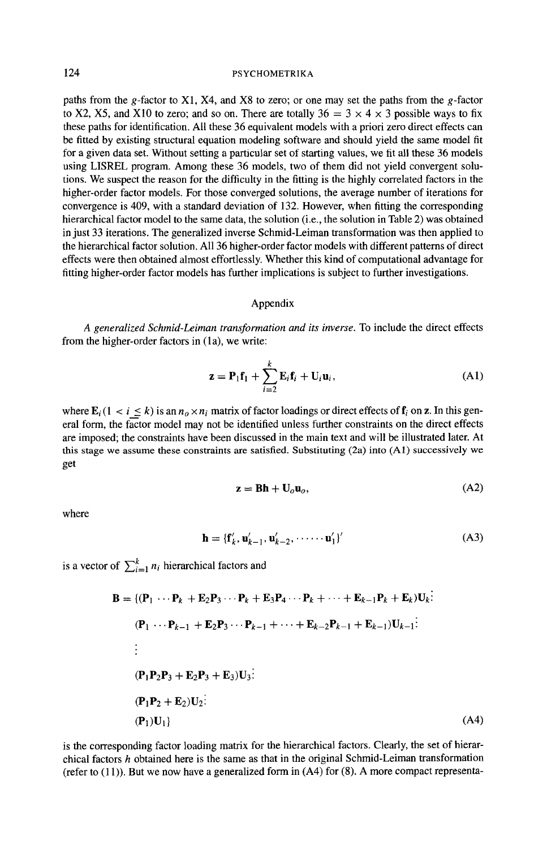paths from the g-factor to X1, X4, and X8 to zero; or one may set the paths from the g-factor to X2, X5, and X10 to zero; and so on. There are totally  $36 = 3 \times 4 \times 3$  possible ways to fix these paths for identification. All these 36 equivalent models with a priori zero direct effects can be fitted by existing structural equation modeling software and should yield the same model fit for a given data set. Without setting a particular set of starting values, we fit all these 36 models using LISREL program. Among these 36 models, two of them did not yield convergent solutions. We suspect the reason for the difficulty in the fitting is the highly correlated factors in the higher-order factor models. For those converged solutions, the average number of iterations for convergence is 409, with a standard deviation of 132. However, when fitting the corresponding hierarchical factor model to the same data, the solution (i.e., the solution in Table 2) was obtained in just 33 iterations. The generalized inverse Schmid-Leiman transformation was then applied to the hierarchical factor solution. All 36 higher-order factor models with different patterns of direct effects were then obtained almost effortlessly. Whether this kind of computational advantage for fitting higher-order factor models has further implications is subject to further investigations.

### Appendix

*A generalized Schmid-Leiman transformation and its inverse.* To include the direct effects from the higher-order factors in (1a), we write:

$$
\mathbf{z} = \mathbf{P}_1 \mathbf{f}_1 + \sum_{i=2}^k \mathbf{E}_i \mathbf{f}_i + \mathbf{U}_i \mathbf{u}_i, \tag{A1}
$$

where  $\mathbf{E}_i$  (1 < i  $\leq k$ ) is an  $n_o \times n_i$  matrix of factor loadings or direct effects of  $\mathbf{f}_i$  on **z**. In this general form, the factor model may not be identified unless further constraints on the direct effects are imposed; the constraints have been discussed in the main text and will be illustrated later. At this stage we assume these constraints are satisfied. Substituting (2a) into (A1) successively we get

$$
z = Bh + U_0 u_0, \tag{A2}
$$

where

$$
\mathbf{h} = \{\mathbf{f}'_k, \mathbf{u}'_{k-1}, \mathbf{u}'_{k-2}, \cdots \cdots \mathbf{u}'_1\}'
$$
 (A3)

is a vector of  $\sum_{i=1}^{k} n_i$  hierarchical factors and

$$
\mathbf{B} = \{ (\mathbf{P}_1 \cdots \mathbf{P}_k + \mathbf{E}_2 \mathbf{P}_3 \cdots \mathbf{P}_k + \mathbf{E}_3 \mathbf{P}_4 \cdots \mathbf{P}_k + \cdots + \mathbf{E}_{k-1} \mathbf{P}_k + \mathbf{E}_k) \mathbf{U}_k : \n(\mathbf{P}_1 \cdots \mathbf{P}_{k-1} + \mathbf{E}_2 \mathbf{P}_3 \cdots \mathbf{P}_{k-1} + \cdots + \mathbf{E}_{k-2} \mathbf{P}_{k-1} + \mathbf{E}_{k-1}) \mathbf{U}_{k-1} : \n\vdots \n(\mathbf{P}_1 \mathbf{P}_2 \mathbf{P}_3 + \mathbf{E}_2 \mathbf{P}_3 + \mathbf{E}_3) \mathbf{U}_3 : \n(\mathbf{P}_1 \mathbf{P}_2 + \mathbf{E}_2) \mathbf{U}_2 : \n(\mathbf{P}_1) \mathbf{U}_1 \}
$$
\n(A4)

is the corresponding factor loading matrix for the hierarchical factors. Clearly, the set of hierarchical factors  $h$  obtained here is the same as that in the original Schmid-Leiman transformation (refer to (11)). But we now have a generalized form in (A4) for (8). A more compact representa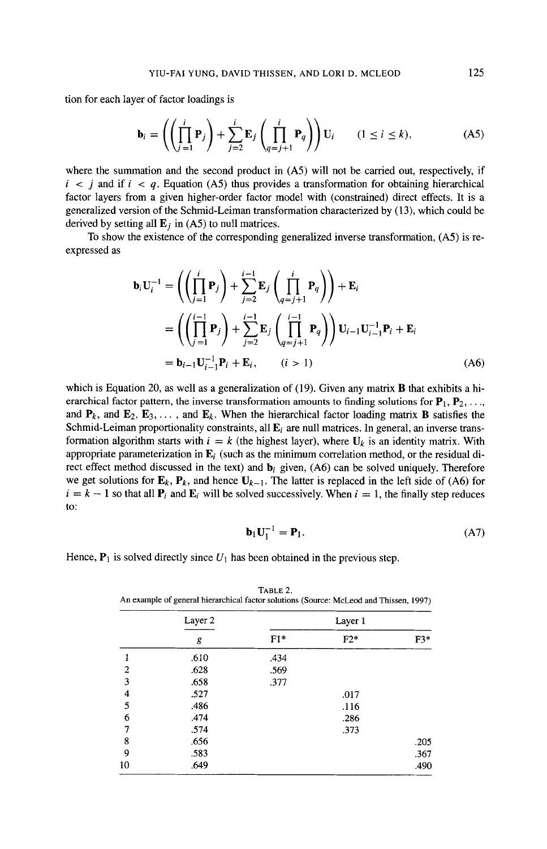tion for each layer of factor loadings is

$$
\mathbf{b}_{i} = \left( \left( \prod_{j=1}^{i} \mathbf{P}_{j} \right) + \sum_{j=2}^{i} \mathbf{E}_{j} \left( \prod_{q=j+1}^{i} \mathbf{P}_{q} \right) \right) \mathbf{U}_{i} \qquad (1 \leq i \leq k), \tag{A5}
$$

where the summation and the second product in  $(AS)$  will not be carried out, respectively, if  $i < j$  and if  $i < q$ . Equation (A5) thus provides a transformation for obtaining hierarchical factor layers from a given higher-order factor model with (constrained) direct effects. It is a generalized version of the Schmid-Leiman transformation characterized by (13), which could be derived by setting all  $E_i$  in (A5) to null matrices.

To show the existence of the corresponding generalized inverse transformation, (A5) is reexpressed as

$$
\mathbf{b}_{i} \mathbf{U}_{i}^{-1} = \left( \left( \prod_{j=1}^{i} \mathbf{P}_{j} \right) + \sum_{j=2}^{i-1} \mathbf{E}_{j} \left( \prod_{q=j+1}^{i} \mathbf{P}_{q} \right) \right) + \mathbf{E}_{i}
$$
  
\n
$$
= \left( \left( \prod_{j=1}^{i-1} \mathbf{P}_{j} \right) + \sum_{j=2}^{i-1} \mathbf{E}_{j} \left( \prod_{q=j+1}^{i-1} \mathbf{P}_{q} \right) \right) \mathbf{U}_{i-1} \mathbf{U}_{i-1}^{-1} \mathbf{P}_{i} + \mathbf{E}_{i}
$$
  
\n
$$
= \mathbf{b}_{i-1} \mathbf{U}_{i-1}^{-1} \mathbf{P}_{i} + \mathbf{E}_{i}, \qquad (i > 1)
$$
 (A6)

which is Equation 20, as well as a generalization of  $(19)$ . Given any matrix **B** that exhibits a hierarchical factor pattern, the inverse transformation amounts to finding solutions for  $P_1, P_2, \ldots$ and  $P_k$ , and  $E_2$ ,  $E_3$ ,..., and  $E_k$ . When the hierarchical factor loading matrix **B** satisfies the Schmid-Leiman proportionality constraints, all  $E_i$  are null matrices. In general, an inverse transformation algorithm starts with  $i = k$  (the highest layer), where  $U_k$  is an identity matrix. With appropriate parameterization in  $E_i$  (such as the minimum correlation method, or the residual direct effect method discussed in the text) and  $\mathbf{b}_i$  given, (A6) can be solved uniquely. Therefore we get solutions for  $\mathbf{E}_k$ ,  $\mathbf{P}_k$ , and hence  $\mathbf{U}_{k-1}$ . The latter is replaced in the left side of (A6) for  $i = k - 1$  so that all  $P_i$  and  $E_i$  will be solved successively. When  $i = 1$ , the finally step reduces to:

$$
\mathbf{b}_1 \mathbf{U}_1^{-1} = \mathbf{P}_1. \tag{A7}
$$

Hence,  $P_1$  is solved directly since  $U_1$  has been obtained in the previous step.

|                | $\tilde{}$ | $\sim$ |         | .     |  |  |
|----------------|------------|--------|---------|-------|--|--|
|                | Layer 2    |        | Layer 1 |       |  |  |
|                | g          | $F1*$  | $F2*$   | $F3*$ |  |  |
|                | .610       | .434   |         |       |  |  |
| $\overline{c}$ | .628       | .569   |         |       |  |  |
| 3              | .658       | .377   |         |       |  |  |
| 4              | .527       |        | .017    |       |  |  |
| 5              | .486       |        | .116    |       |  |  |
| 6              | .474       |        | .286    |       |  |  |
| 7              | .574       |        | .373    |       |  |  |
| 8              | .656       |        |         | .205  |  |  |
| 9              | .583       |        |         | .367  |  |  |
| 10             | .649       |        |         | .490  |  |  |

TABLE 2. An example of general hierarchical factor solutions (Source: McLeod and Thissen, 1997)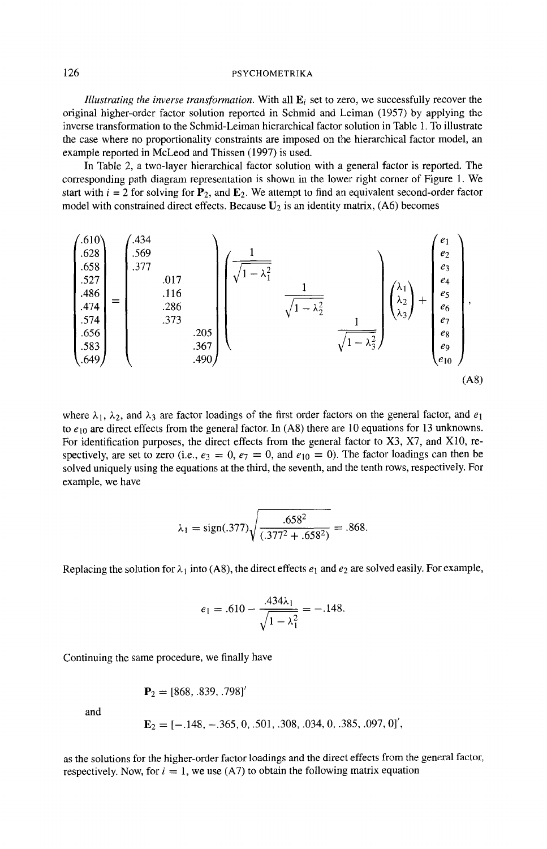*Illustrating the inverse transformation.* With all  $E_i$  set to zero, we successfully recover the original higher-order factor solution reported in Schmid and Leiman (1957) by applying the inverse transformation to the Schmid-Leiman hierarchical factor solution in Table 1. To illustrate the case where no proportionality constraints are imposed on the hierarchical factor model, an example reported in McLeod and Thissen (1997) is used.

In Table 2, a two-layer hierarchical factor solution with a general factor is reported. The corresponding path diagram representation is shown in the lower right comer of Figure 1. We start with  $i = 2$  for solving for  $P_2$ , and  $E_2$ . We attempt to find an equivalent second-order factor model with constrained direct effects. Because  $U_2$  is an identity matrix, (A6) becomes

$$
\begin{pmatrix}\n.610 \\
.628 \\
.658 \\
.527 \\
.486 \\
.474 \\
.574 \\
.656 \\
.583 \\
.583 \\
.649\n\end{pmatrix} = \begin{pmatrix}\n.434 \\
.569 \\
.377 \\
.116 \\
.286 \\
.373 \\
.367 \\
.490\n\end{pmatrix} \begin{pmatrix}\n1 \\
\sqrt{1 - \lambda_1^2} \\
\sqrt{1 - \lambda_2^2} \\
\sqrt{1 - \lambda_2^2} \\
\sqrt{1 - \lambda_3^2}\n\end{pmatrix} \begin{pmatrix}\n\lambda_1 \\
\lambda_2 \\
\lambda_3 \\
\lambda_4\n\end{pmatrix} + \begin{pmatrix}\n\lambda_1 \\
e_2 \\
e_3 \\
e_4 \\
e_5 \\
e_6 \\
e_7 \\
e_8 \\
e_9 \\
e_{10}\n\end{pmatrix},
$$
\n(A8)

where  $\lambda_1$ ,  $\lambda_2$ , and  $\lambda_3$  are factor loadings of the first order factors on the general factor, and  $e_1$ to  $e_{10}$  are direct effects from the general factor. In (A8) there are 10 equations for 13 unknowns. For identification purposes, the direct effects from the general factor to X3, X7, and X10, respectively, are set to zero (i.e.,  $e_3 = 0$ ,  $e_7 = 0$ , and  $e_{10} = 0$ ). The factor loadings can then be solved uniquely using the equations at the third, the seventh, and the tenth rows, respectively. For example, we have

$$
\lambda_1 = sign(.377)\sqrt{\frac{.658^2}{(.377^2 + .658^2)}} = .868.
$$

Replacing the solution for  $\lambda_1$  into (A8), the direct effects  $e_1$  and  $e_2$  are solved easily. For example,

$$
e_1 = .610 - \frac{.434\lambda_1}{\sqrt{1 - \lambda_1^2}} = -.148.
$$

Continuing the same procedure, we finally have

$$
\mathbf{P}_2=[868, .839, .798]'
$$

and

$$
\mathbf{E}_2 = [-.148, -.365, 0, .501, .308, .034, 0, .385, .097, 0],
$$

as the solutions for the higher-order factor loadings and the direct effects from the general factor, respectively. Now, for  $i = 1$ , we use (A7) to obtain the following matrix equation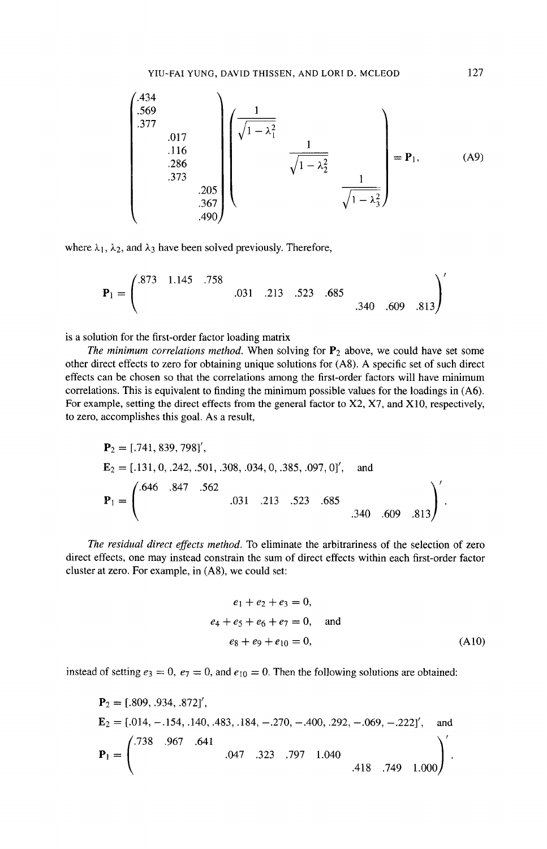$$
\begin{pmatrix}\n.434 \\
.569 \\
.377 \\
.116 \\
.286 \\
.373 \\
.205 \\
.367 \\
.490\n\end{pmatrix}\n\begin{pmatrix}\n1 \\
\sqrt{1-\lambda_1^2} \\
\sqrt{1-\lambda_2^2} \\
\sqrt{1-\lambda_2^2} \\
\sqrt{1-\lambda_3^2}\n\end{pmatrix} = \mathbf{P}_1, \quad (A9)
$$

where  $\lambda_1$ ,  $\lambda_2$ , and  $\lambda_3$  have been solved previously. Therefore,

$$
\mathbf{P}_1 = \begin{pmatrix} .873 & 1.145 & .758 \\ 0.31 & .213 & .523 & .685 \\ 0.31 & .213 & .523 & .685 \\ 0.340 & .609 & .813 \end{pmatrix}^{\prime}
$$

is a solution for the first-order factor loading matrix

*The minimum correlations method.* When solving for  $P_2$  above, we could have set some other direct effects to zero for obtaining unique solutions for (A8). A specific set of such direct effects can be chosen so that the correlations among the first-order factors will have minimum correlations. This is equivalent to finding the minimum possible values for the loadings in (A6). For example, setting the direct effects from the general factor to X2, X7, and X10, respectively, to zero, accomplishes this goal. As a result,

$$
\mathbf{P}_2 = [.741, 839, 798]'
$$
\n
$$
\mathbf{E}_2 = [.131, 0, .242, .501, .308, .034, 0, .385, .097, 0]'
$$
, and\n
$$
\mathbf{P}_1 = \begin{pmatrix} .646 & .847 & .562 \\ .031 & .213 & .523 & .685 \\ .340 & .609 & .813 \end{pmatrix}'.
$$

*The residual direct effects method.* To eliminate the arbitrariness of the selection of zero direct effects, one may instead constrain the sum of direct effects within each first-order factor cluster at zero. For example, in (A8), we could set:

$$
e_1 + e_2 + e_3 = 0,
$$
  
\n
$$
e_4 + e_5 + e_6 + e_7 = 0,
$$
 and  
\n
$$
e_8 + e_9 + e_{10} = 0,
$$
 (A10)

instead of setting  $e_3 = 0$ ,  $e_7 = 0$ , and  $e_{10} = 0$ . Then the following solutions are obtained:

$$
\mathbf{P}_2 = [.809, .934, .872]'
$$
\n
$$
\mathbf{E}_2 = [.014, -.154, .140, .483, .184, -.270, -.400, .292, -.069, -.222]'
$$
, and\n
$$
\mathbf{P}_1 = \begin{pmatrix} .738 & .967 & .641 \\ .047 & .323 & .797 & 1.040 \\ .047 & .323 & .797 & 1.040 \\ .048 & .749 & 1.000 \end{pmatrix}'.
$$